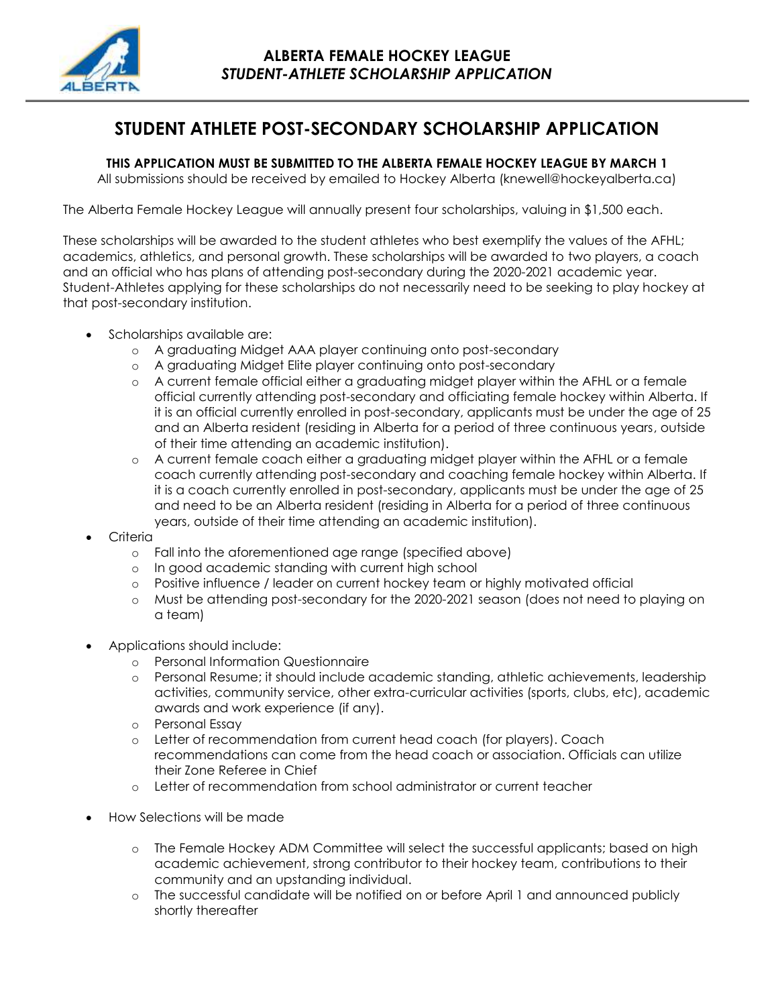

# **STUDENT ATHLETE POST-SECONDARY SCHOLARSHIP APPLICATION**

**THIS APPLICATION MUST BE SUBMITTED TO THE ALBERTA FEMALE HOCKEY LEAGUE BY MARCH 1**

All submissions should be received by emailed to Hockey Alberta (knewell@hockeyalberta.ca)

The Alberta Female Hockey League will annually present four scholarships, valuing in \$1,500 each.

These scholarships will be awarded to the student athletes who best exemplify the values of the AFHL; academics, athletics, and personal growth. These scholarships will be awarded to two players, a coach and an official who has plans of attending post-secondary during the 2020-2021 academic year. Student-Athletes applying for these scholarships do not necessarily need to be seeking to play hockey at that post-secondary institution.

- Scholarships available are:
	- o A graduating Midget AAA player continuing onto post-secondary
	- o A graduating Midget Elite player continuing onto post-secondary
	- o A current female official either a graduating midget player within the AFHL or a female official currently attending post-secondary and officiating female hockey within Alberta. If it is an official currently enrolled in post-secondary, applicants must be under the age of 25 and an Alberta resident (residing in Alberta for a period of three continuous years, outside of their time attending an academic institution).
	- o A current female coach either a graduating midget player within the AFHL or a female coach currently attending post-secondary and coaching female hockey within Alberta. If it is a coach currently enrolled in post-secondary, applicants must be under the age of 25 and need to be an Alberta resident (residing in Alberta for a period of three continuous years, outside of their time attending an academic institution).
- Criteria
	- o Fall into the aforementioned age range (specified above)
	- o In good academic standing with current high school
	- o Positive influence / leader on current hockey team or highly motivated official
	- o Must be attending post-secondary for the 2020-2021 season (does not need to playing on a team)
- Applications should include:
	- o Personal Information Questionnaire
	- o Personal Resume; it should include academic standing, athletic achievements, leadership activities, community service, other extra-curricular activities (sports, clubs, etc), academic awards and work experience (if any).
	- o Personal Essay
	- o Letter of recommendation from current head coach (for players). Coach recommendations can come from the head coach or association. Officials can utilize their Zone Referee in Chief
	- o Letter of recommendation from school administrator or current teacher
- How Selections will be made
	- o The Female Hockey ADM Committee will select the successful applicants; based on high academic achievement, strong contributor to their hockey team, contributions to their community and an upstanding individual.
	- o The successful candidate will be notified on or before April 1 and announced publicly shortly thereafter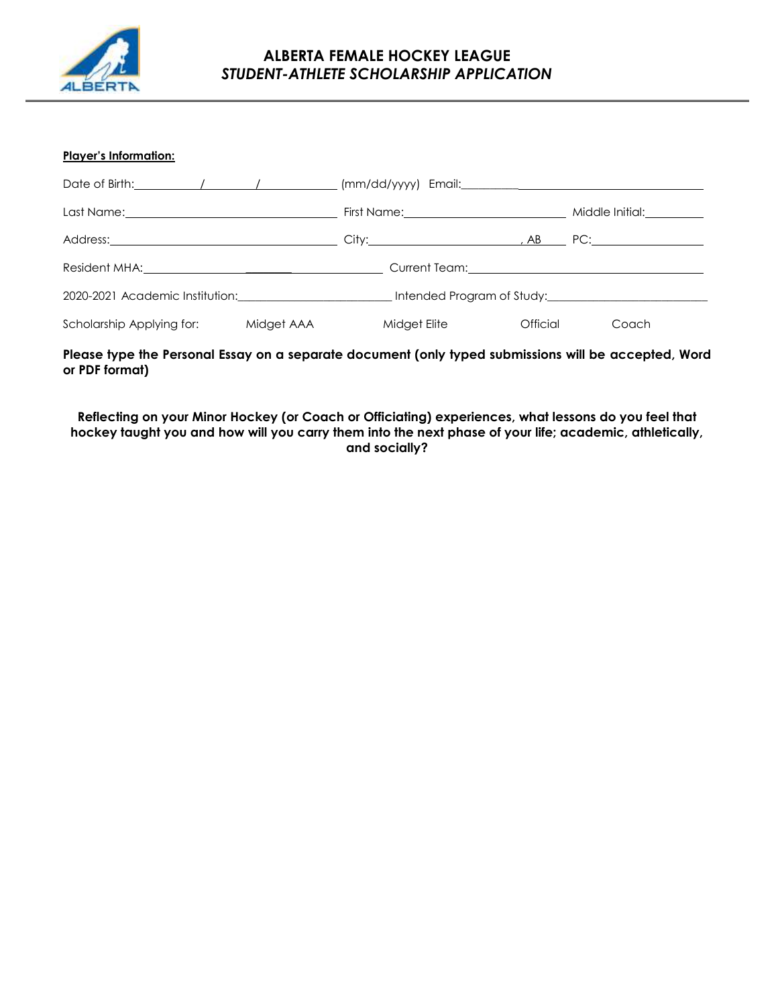

### **ALBERTA FEMALE HOCKEY LEAGUE** *STUDENT-ATHLETE SCHOLARSHIP APPLICATION*

#### **Player's Information:**

| Date of Birth: $\sqrt{2\pi}$ / $\sqrt{2\pi}$ / $\sqrt{2\pi}$ / $\sqrt{2\pi}$ / $\sqrt{2\pi}$ / $\sqrt{2\pi}$ / $\sqrt{2\pi}$ / $\sqrt{2\pi}$ / $\sqrt{2\pi}$ / $\sqrt{2\pi}$ / $\sqrt{2\pi}$ / $\sqrt{2\pi}$ / $\sqrt{2\pi}$ / $\sqrt{2\pi}$ / $\sqrt{2\pi}$ / $\sqrt{2\pi}$ / $\sqrt{2\pi}$ / $\$ |            |  |              |                                         |       |
|----------------------------------------------------------------------------------------------------------------------------------------------------------------------------------------------------------------------------------------------------------------------------------------------------|------------|--|--------------|-----------------------------------------|-------|
|                                                                                                                                                                                                                                                                                                    |            |  |              | Middle Initial: <u>Community Middle</u> |       |
|                                                                                                                                                                                                                                                                                                    |            |  |              |                                         |       |
|                                                                                                                                                                                                                                                                                                    |            |  |              |                                         |       |
| 2020-2021 Academic Institution: 2020-2021 Academic Institution:                                                                                                                                                                                                                                    |            |  |              |                                         |       |
| Scholarship Applying for:                                                                                                                                                                                                                                                                          | Midget AAA |  | Midget Elite | Official                                | Coach |

#### **Please type the Personal Essay on a separate document (only typed submissions will be accepted, Word or PDF format)**

**Reflecting on your Minor Hockey (or Coach or Officiating) experiences, what lessons do you feel that hockey taught you and how will you carry them into the next phase of your life; academic, athletically, and socially?**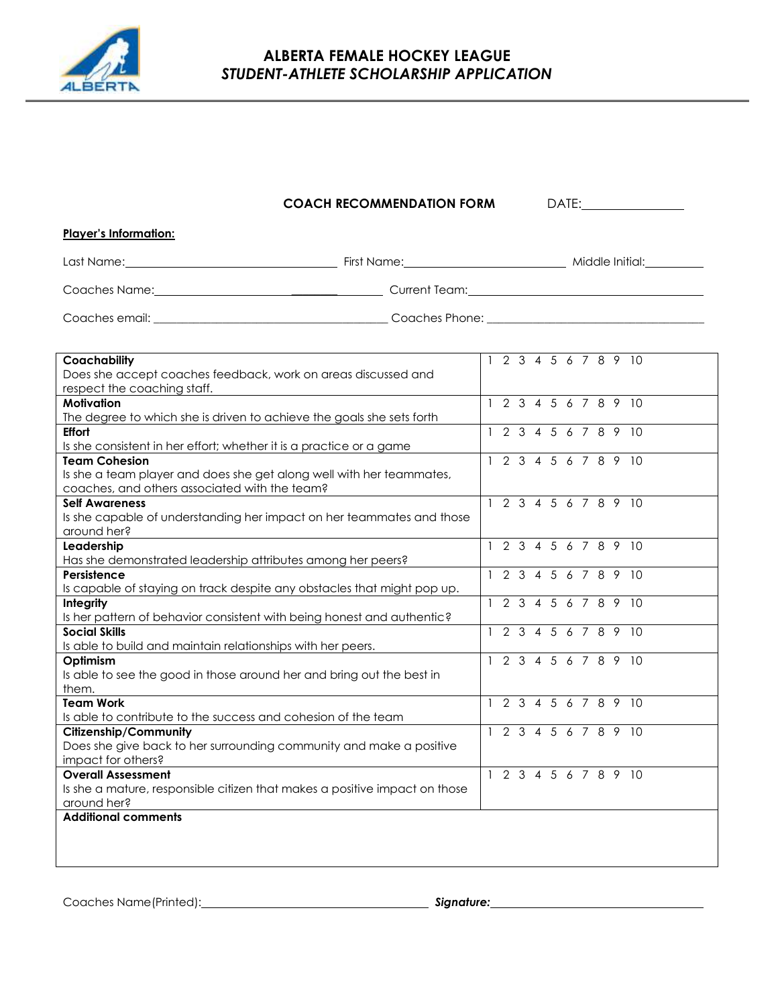

## **ALBERTA FEMALE HOCKEY LEAGUE** *STUDENT-ATHLETE SCHOLARSHIP APPLICATION*

### **COACH RECOMMENDATION FORM** DATE:

| <b>Player's Information:</b> |                                                                                                                                                                                                                                |                 |
|------------------------------|--------------------------------------------------------------------------------------------------------------------------------------------------------------------------------------------------------------------------------|-----------------|
|                              | First Name: The contract of the contract of the contract of the contract of the contract of the contract of the contract of the contract of the contract of the contract of the contract of the contract of the contract of th | Middle Initial: |
| Coaches Name:                |                                                                                                                                                                                                                                |                 |
| Coaches email:               | Coaches Phone:                                                                                                                                                                                                                 |                 |

| Coachability                                                               | 1 2 3 4 5 6 7 8 9 10               |
|----------------------------------------------------------------------------|------------------------------------|
| Does she accept coaches feedback, work on areas discussed and              |                                    |
| respect the coaching staff.                                                |                                    |
| <b>Motivation</b>                                                          | 1 2 3 4 5 6 7 8 9 10               |
| The degree to which she is driven to achieve the goals she sets forth      |                                    |
| <b>Effort</b>                                                              | 1 2 3 4 5 6 7 8 9 10               |
| Is she consistent in her effort; whether it is a practice or a game        |                                    |
| <b>Team Cohesion</b>                                                       | 2 3 4 5 6 7 8 9 10<br>$\mathbf{1}$ |
| Is she a team player and does she get along well with her teammates,       |                                    |
| coaches, and others associated with the team?                              |                                    |
| <b>Self Awareness</b>                                                      | 1 2 3 4 5 6 7 8 9 10               |
| Is she capable of understanding her impact on her teammates and those      |                                    |
| around her?                                                                |                                    |
| Leadership                                                                 | 1 2 3 4 5 6 7 8 9 10               |
| Has she demonstrated leadership attributes among her peers?                |                                    |
| Persistence                                                                | 1 2 3 4 5 6 7 8 9 10               |
| Is capable of staying on track despite any obstacles that might pop up.    |                                    |
| Integrity                                                                  | 2 3 4<br>5<br>6 7 8 9 10           |
| Is her pattern of behavior consistent with being honest and authentic?     |                                    |
| <b>Social Skills</b>                                                       | 2 3<br>4 5 6 7 8 9 10              |
| Is able to build and maintain relationships with her peers.                |                                    |
| Optimism                                                                   | 2 3 4 5 6 7 8 9 10                 |
| Is able to see the good in those around her and bring out the best in      |                                    |
| them.                                                                      |                                    |
| <b>Team Work</b>                                                           | 1 2 3 4 5 6 7 8 9 10               |
| Is able to contribute to the success and cohesion of the team              |                                    |
| <b>Citizenship/Community</b>                                               | 2 3 4 5 6 7 8 9 10<br>$\mathbf{1}$ |
| Does she give back to her surrounding community and make a positive        |                                    |
| impact for others?                                                         |                                    |
| <b>Overall Assessment</b>                                                  | 1 2 3 4 5 6 7 8 9 10               |
| Is she a mature, responsible citizen that makes a positive impact on those |                                    |
| around her?                                                                |                                    |
| <b>Additional comments</b>                                                 |                                    |
|                                                                            |                                    |
|                                                                            |                                    |
|                                                                            |                                    |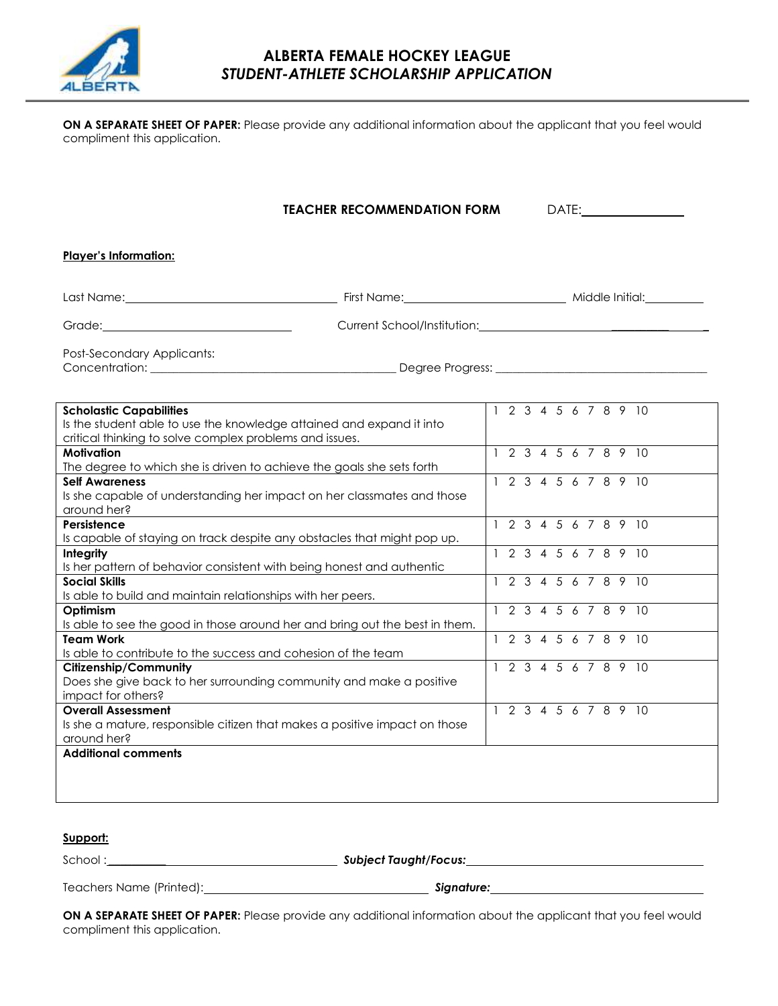

### **ALBERTA FEMALE HOCKEY LEAGUE** *STUDENT-ATHLETE SCHOLARSHIP APPLICATION*

**ON A SEPARATE SHEET OF PAPER:** Please provide any additional information about the applicant that you feel would compliment this application.

| <b>TEACHER RECOMMENDATION FORM</b>                                                                                                                                                                                             | DATE: the contract of the contract of the contract of the contract of the contract of the contract of the contract of the contract of the contract of the contract of the contract of the contract of the contract of the cont |  |  |  |  |
|--------------------------------------------------------------------------------------------------------------------------------------------------------------------------------------------------------------------------------|--------------------------------------------------------------------------------------------------------------------------------------------------------------------------------------------------------------------------------|--|--|--|--|
| <b>Player's Information:</b>                                                                                                                                                                                                   |                                                                                                                                                                                                                                |  |  |  |  |
| Last Name: Middle Initial: Manne: Middle Initial: Manne: Middle Initial: Middle Initial: Middle Initial: Middle Initial: Middle Initial: Middle Initial: Middle Initial: Middle Initial: Middle Initial: Middle Initial: Middl |                                                                                                                                                                                                                                |  |  |  |  |
| Grade: <u>Communications</u>                                                                                                                                                                                                   | Current School/Institution: National Accounts of the Current School/Institution:                                                                                                                                               |  |  |  |  |
| Post-Secondary Applicants:                                                                                                                                                                                                     |                                                                                                                                                                                                                                |  |  |  |  |
| <b>Scholastic Capabilities</b><br>Is the student able to use the knowledge attained and expand it into<br>critical thinking to solve complex problems and issues.                                                              | 1 2 3 4 5 6 7 8 9 10                                                                                                                                                                                                           |  |  |  |  |
| <b>Motivation</b><br>The degree to which she is driven to achieve the goals she sets forth                                                                                                                                     | 1 2 3 4 5 6 7 8 9 10                                                                                                                                                                                                           |  |  |  |  |
| <b>Self Awareness</b><br>Is she capable of understanding her impact on her classmates and those<br>around her?                                                                                                                 | 1 2 3 4 5 6 7 8 9 10                                                                                                                                                                                                           |  |  |  |  |
| Persistence<br>Is capable of staying on track despite any obstacles that might pop up.                                                                                                                                         | 1 2 3 4 5 6 7 8 9 10                                                                                                                                                                                                           |  |  |  |  |
| Integrity<br>Is her pattern of behavior consistent with being honest and authentic                                                                                                                                             | 1 2 3 4 5 6 7 8 9 10                                                                                                                                                                                                           |  |  |  |  |
| <b>Social Skills</b><br>Is able to build and maintain relationships with her peers.                                                                                                                                            | 1 2 3 4 5 6 7 8 9 10                                                                                                                                                                                                           |  |  |  |  |
| Optimism<br>Is able to see the good in those around her and bring out the best in them.                                                                                                                                        | 1 2 3 4 5 6 7 8 9 10                                                                                                                                                                                                           |  |  |  |  |
| <b>Team Work</b><br>Is able to contribute to the success and cohesion of the team                                                                                                                                              | 1 2 3 4 5 6 7 8 9 10                                                                                                                                                                                                           |  |  |  |  |
| <b>Citizenship/Community</b><br>Does she give back to her surrounding community and make a positive<br>impact for others?                                                                                                      | 1 2 3 4 5 6 7 8 9 10                                                                                                                                                                                                           |  |  |  |  |
| <b>Overall Assessment</b><br>Is she a mature, responsible citizen that makes a positive impact on those<br>around her?                                                                                                         | 1 2 3 4 5 6 7 8 9 10                                                                                                                                                                                                           |  |  |  |  |
| <b>Additional comments</b>                                                                                                                                                                                                     |                                                                                                                                                                                                                                |  |  |  |  |

#### **Support:**

School : \_\_\_\_\_\_\_\_\_\_ *Subject Taught/Focus:*

Teachers Name (Printed): *Signature:*

**ON A SEPARATE SHEET OF PAPER:** Please provide any additional information about the applicant that you feel would compliment this application.